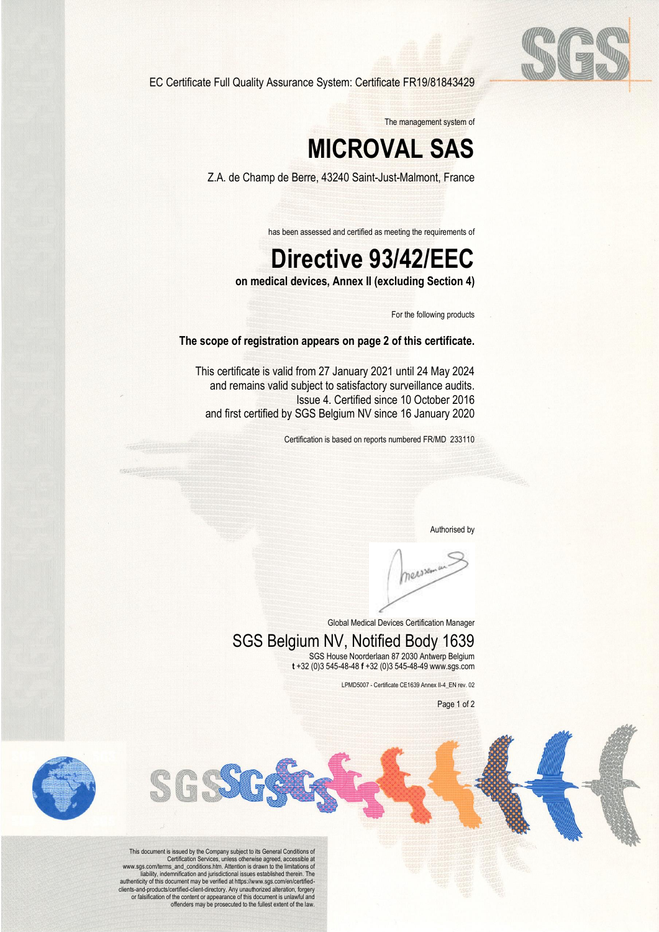

EC Certificate Full Quality Assurance System: Certificate FR19/81843429

The management system of

# **MICROVAL SAS**

Z.A. de Champ de Berre, 43240 Saint-Just-Malmont, France

has been assessed and certified as meeting the requirements of

## **Directive 93/42/EEC**

**on medical devices, Annex II (excluding Section 4)**

For the following products

#### **The scope of registration appears on page 2 of this certificate.**

This certificate is valid from 27 January 2021 until 24 May 2024 and remains valid subject to satisfactory surveillance audits. Issue 4. Certified since 10 October 2016 and first certified by SGS Belgium NV since 16 January 2020

Certification is based on reports numbered FR/MD 233110

Authorised by

measurer

Global Medical Devices Certification Manager

#### SGS Belgium NV, Notified Body 1639 SGS House Noorderlaan 87 2030 Antwerp Belgium

**t** +32 (0)3 545-48-48 **f** +32 (0)3 545-48-49 www.sgs.com

LPMD5007 - Certificate CE1639 Annex II-4\_EN rev. 02

Page 1 of 2



This document is issued by the Company subject to its General Conditions of Certification Services, unless otherwise agreed, accessible at www.sgs.com/terms\_and\_conditions.htm. Attention is drawn to the limitations of liability, indemnification and jurisdictional issues established therein. The authenticity of this document may be verified at https://www.sgs.com/en/certifiedclients-and-products/certified-client-directory. Any unauthorized alteration, forgery<br>or falsification of the content or appearance of this document is unlawful and<br>offenders may be prosecuted to the fullest extent of the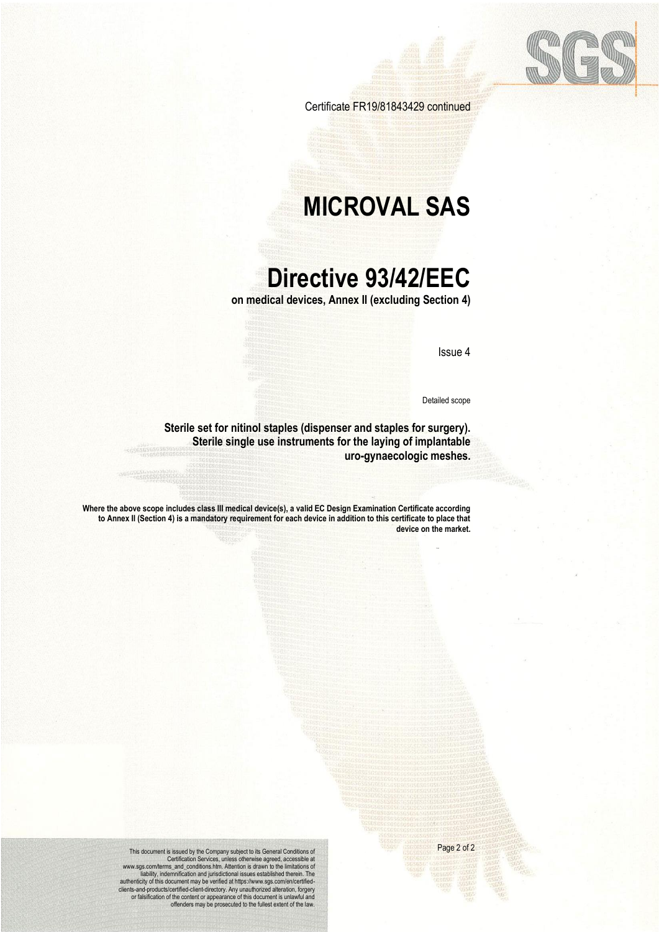

Certificate FR19/81843429 continued

### **MICROVAL SAS**

### **Directive 93/42/EEC**

**on medical devices, Annex II (excluding Section 4)**

Issue 4

Detailed scope

**Sterile set for nitinol staples (dispenser and staples for surgery). Sterile single use instruments for the laying of implantable uro-gynaecologic meshes.**

**Where the above scope includes class III medical device(s), a valid EC Design Examination Certificate according to Annex II (Section 4) is a mandatory requirement for each device in addition to this certificate to place that device on the market.**

Page 2 of 2

This document is issued by the Company subject to its General Conditions of<br>Certification Services, unless otherwise agreed, accessible at<br>merms\_and\_conditions.htm. Attention is drawn to the limitations of<br>liability, indem